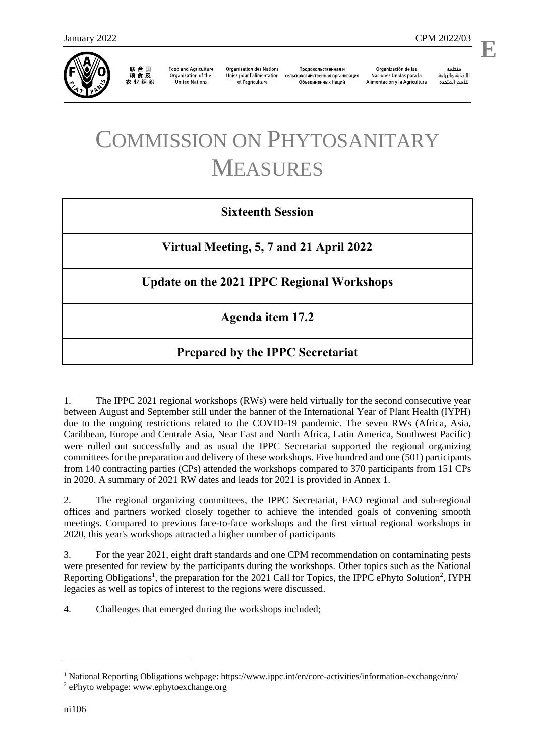

联合国<br>粮食及 农业组织

**Food and Agriculture** Organization of the **United Nations** 

**Organisation des Nations** Unies pour l'alimentation et l'agriculture

Продовольственная и сельскохозяйственная организация Объелиненных Наций

Organización de las Naciones Unidas para la Alimentación y la Agricultura

منظمة الأغذية والزراعة للأمم المتحدة

l,

# COMMISSION ON PHYTOSANITARY MEASURES

### **Sixteenth Session**

**Virtual Meeting, 5, 7 and 21 April 2022**

### **Update on the 2021 IPPC Regional Workshops**

**Agenda item 17.2**

## **Prepared by the IPPC Secretariat**

1. The IPPC 2021 regional workshops (RWs) were held virtually for the second consecutive year between August and September still under the banner of the International Year of Plant Health (IYPH) due to the ongoing restrictions related to the COVID-19 pandemic. The seven RWs (Africa, Asia, Caribbean, Europe and Centrale Asia, Near East and North Africa, Latin America, Southwest Pacific) were rolled out successfully and as usual the IPPC Secretariat supported the regional organizing committees for the preparation and delivery of these workshops. Five hundred and one (501) participants from 140 contracting parties (CPs) attended the workshops compared to 370 participants from 151 CPs in 2020. A summary of 2021 RW dates and leads for 2021 is provided in Annex 1.

2. The regional organizing committees, the IPPC Secretariat, FAO regional and sub-regional offices and partners worked closely together to achieve the intended goals of convening smooth meetings. Compared to previous face-to-face workshops and the first virtual regional workshops in 2020, this year's workshops attracted a higher number of participants

3. For the year 2021, eight draft standards and one CPM recommendation on contaminating pests were presented for review by the participants during the workshops. Other topics such as the [National](https://www.ippc.int/en/publications/88623/)  [Reporting Obligations](https://www.ippc.int/en/publications/88623/)<sup>1</sup>, the preparation for the [2021 Call for Topics,](https://www.ippc.int/en/publications/88621/) [the IPPC](https://www.ippc.int/en/ephyto/) ePhyto Solution<sup>2</sup>, IYPH legacies as well as topics of interest to the regions were discussed.

4. Challenges that emerged during the workshops included;

1

<sup>1</sup> National Reporting Obligations webpage:<https://www.ippc.int/en/core-activities/information-exchange/nro/>

<sup>2</sup> ePhyto webpage[: www.ephytoexchange.org](http://www.ephytoexchange.org/)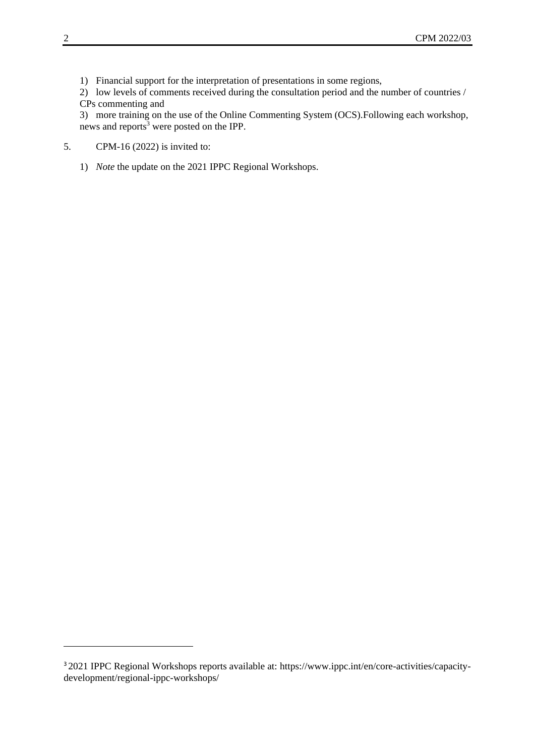1) Financial support for the interpretation of presentations in some regions,

2) low levels of comments received during the consultation period and the number of countries / CPs commenting and

3) more training on the use of the Online Commenting System (OCS).Following each workshop, news and reports<sup>3</sup> were posted on the IPP.

- 5. CPM-16 (2022) is invited to:
	- 1) *Note* the update on the 2021 IPPC Regional Workshops.

-

<sup>3</sup> 2021 IPPC Regional Workshops reports available at: [https://www.ippc.int/en/core-activities/capacity](https://www.ippc.int/en/core-activities/capacity-development/regional-ippc-workshops/)[development/regional-ippc-workshops/](https://www.ippc.int/en/core-activities/capacity-development/regional-ippc-workshops/)